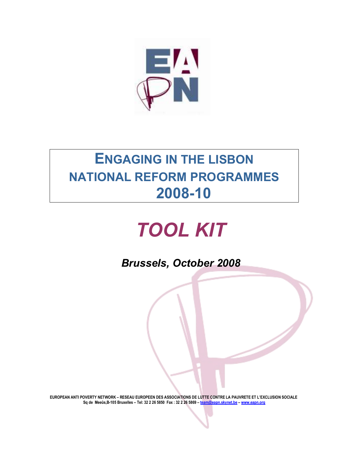

# ENGAGING IN THE LISBON NATIONAL REFORM PROGRAMMES 2008-10

# TOOL KIT

Brussels, October 2008

EUROPEAN ANTI POVERTY NETWORK – RESEAU EUROPEEN DES ASSOCIATIONS DE LUTTE CONTRE LA PAUVRETE ET L'EXCLUSION SOCIALE Sq de Meeûs,B-105 Bruxelles – Tel: 32 2 26 5850 Fax : 32 2 26 5869 – team@eapn.skynet.be – www.eapn.org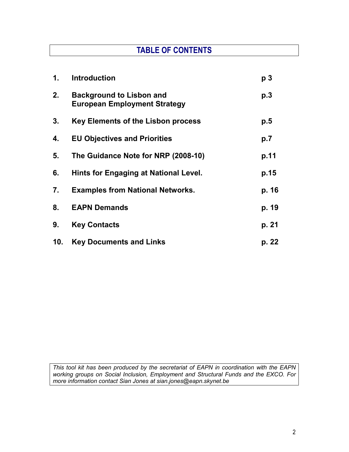# TABLE OF CONTENTS

| 1.  | <b>Introduction</b>                                                    | p <sub>3</sub> |
|-----|------------------------------------------------------------------------|----------------|
| 2.  | <b>Background to Lisbon and</b><br><b>European Employment Strategy</b> | p.3            |
| 3.  | Key Elements of the Lisbon process                                     | p.5            |
| 4.  | <b>EU Objectives and Priorities</b>                                    | p.7            |
| 5.  | The Guidance Note for NRP (2008-10)                                    | p.11           |
| 6.  | Hints for Engaging at National Level.                                  | p.15           |
| 7.  | <b>Examples from National Networks.</b>                                | p. 16          |
| 8.  | <b>EAPN Demands</b>                                                    | p. 19          |
| 9.  | <b>Key Contacts</b>                                                    | p. 21          |
| 10. | <b>Key Documents and Links</b>                                         | p. 22          |

This tool kit has been produced by the secretariat of EAPN in coordination with the EAPN working groups on Social Inclusion, Employment and Structural Funds and the EXCO. For more information contact Sian Jones at sian.jones@eapn.skynet.be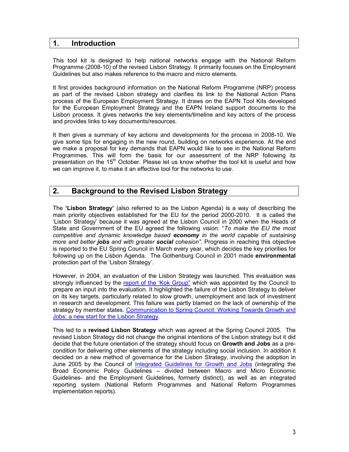### 1. Introduction

This tool kit is designed to help national networks engage with the National Reform Programme (2008-10) of the revised Lisbon Strategy. It primarily focuses on the Employment Guidelines but also makes reference to the macro and micro elements.

It first provides background information on the National Reform Programme (NRP) process as part of the revised Lisbon strategy and clarifies its link to the National Action Plans process of the European Employment Strategy. It draws on the EAPN Tool Kits developed for the European Employment Strategy and the EAPN Ireland support documents to the Lisbon process. It gives networks the key elements/timeline and key actors of the process and provides links to key documents/resources.

It then gives a summary of key actions and developments for the process in 2008-10. We give some tips for engaging in the new round, building on networks experience. At the end we make a proposal for key demands that EAPN would like to see in the National Reform Programmes. This will form the basis for our assessment of the NRP following its presentation on the  $15<sup>th</sup>$  October. Please let us know whether the tool kit is useful and how we can improve it, to make it an effective tool for the networks to use.

# 2. Background to the Revised Lisbon Strategy

The 'Lisbon Strategy' (also referred to as the Lisbon Agenda) is a way of describing the main priority objectives established for the EU for the period 2000-2010. It is called the 'Lisbon Strategy' because it was agreed at the Lisbon Council in 2000 when the Heads of State and Government of the EU agreed the following vision: "To make the EU the most competitive and dynamic knowledge based economy in the world capable of sustaining more and better jobs and with greater social cohesion". Progress in reaching this objective is reported to the EU Spring Council in March every year, which decides the key priorities for following up on the Lisbon Agenda. The Gothenburg Council in 2001 made environmental protection part of the 'Lisbon Strategy'.

However, in 2004, an evaluation of the Lisbon Strategy was launched. This evaluation was strongly influenced by the report of the 'Kok Group" which was appointed by the Council to prepare an input into the evaluation. It highlighted the failure of the Lisbon Strategy to deliver on its key targets, particularly related to slow growth, unemployment and lack of investment in research and development. This failure was partly blamed on the lack of ownership of the strategy by member states. Communication to Spring Council: Working Towards Growth and Jobs: a new start for the Lisbon Strategy.

This led to a revised Lisbon Strategy which was agreed at the Spring Council 2005. The revised Lisbon Strategy did not change the original intentions of the Lisbon strategy but it did decide that the future orientation of the strategy should focus on Growth and Jobs as a precondition for delivering other elements of the strategy including social inclusion. In addition it decided on a new method of governance for the Lisbon Strategy, involving the adoption in June 2005 by the Council of Integrated Guidelines for Growth and Jobs (integrating the Broad Economic Policy Guidelines – divided between Macro and Micro Economic Guidelines- and the Employment Guidelines, formerly distinct), as well as an integrated reporting system (National Reform Programmes and National Reform Programmes implementation reports).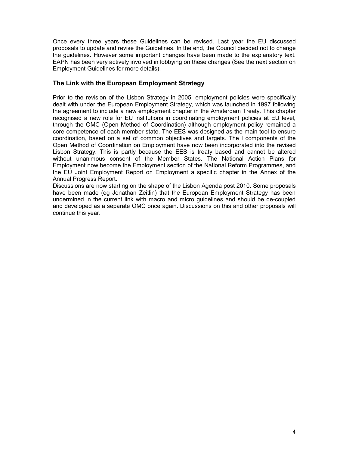Once every three years these Guidelines can be revised. Last year the EU discussed proposals to update and revise the Guidelines. In the end, the Council decided not to change the guidelines. However some important changes have been made to the explanatory text. EAPN has been very actively involved in lobbying on these changes (See the next section on Employment Guidelines for more details).

#### The Link with the European Employment Strategy

Prior to the revision of the Lisbon Strategy in 2005, employment policies were specifically dealt with under the European Employment Strategy, which was launched in 1997 following the agreement to include a new employment chapter in the Amsterdam Treaty. This chapter recognised a new role for EU institutions in coordinating employment policies at EU level, through the OMC (Open Method of Coordination) although employment policy remained a core competence of each member state. The EES was designed as the main tool to ensure coordination, based on a set of common objectives and targets. The l components of the Open Method of Coordination on Employment have now been incorporated into the revised Lisbon Strategy. This is partly because the EES is treaty based and cannot be altered without unanimous consent of the Member States. The National Action Plans for Employment now become the Employment section of the National Reform Programmes, and the EU Joint Employment Report on Employment a specific chapter in the Annex of the Annual Progress Report.

Discussions are now starting on the shape of the Lisbon Agenda post 2010. Some proposals have been made (eg Jonathan Zeitlin) that the European Employment Strategy has been undermined in the current link with macro and micro guidelines and should be de-coupled and developed as a separate OMC once again. Discussions on this and other proposals will continue this year.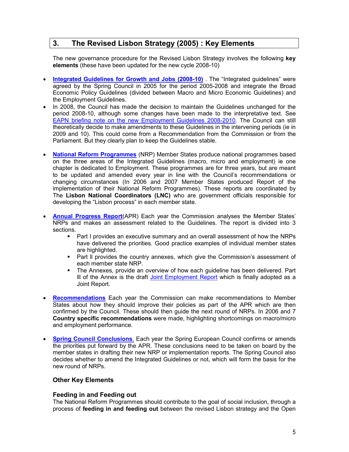# 3. The Revised Lisbon Strategy (2005) : Key Elements

The new governance procedure for the Revised Lisbon Strategy involves the following key elements (these have been updated for the new cycle 2008-10)

- Integrated Guidelines for Growth and Jobs (2008-10) The "Integrated guidelines" were agreed by the Spring Council in 2005 for the period 2005-2008 and integrate the Broad Economic Policy Guidelines (divided between Macro and Micro Economic Guidelines) and the Employment Guidelines.
- In 2008, the Council has made the decision to maintain the Guidelines unchanged for the period 2008-10, although some changes have been made to the interpretative text. See EAPN briefing note on the new Employment Guidelines 2008-2010. The Council can still theoretically decide to make amendments to these Guidelines in the intervening periods (ie in 2009 and 10). This could come from a Recommendation from the Commission or from the Parliament. But they clearly plan to keep the Guidelines stable.
- National Reform Programmes (NRP) Member States produce national programmes based on the three areas of the Integrated Guidelines (macro, micro and employment) ie one chapter is dedicated to Employment. These programmes are for three years, but are meant to be updated and amended every year in line with the Council's recommendations or changing circumstances (In 2006 and 2007 Member States produced Report of the implementation of their National Reform Programmes). These reports are coordinated by The Lisbon National Coordinators (LNC) who are government officials responsible for developing the "Lisbon process" in each member state.
- **Annual Progress Report**(APR) Each year the Commission analyses the Member States' NRPs and makes an assessment related to the Guidelines. The report is divided into 3 sections.
	- Part I provides an executive summary and an overall assessment of how the NRPs have delivered the priorities. Good practice examples of individual member states are highlighted.
	- **Part II provides the country annexes, which give the Commission's assessment of** each member state NRP.
	- The Annexes, provide an overview of how each guideline has been delivered. Part lll of the Annex is the draft Joint Employment Report which is finally adopted as a Joint Report.
- Recommendations Each year the Commission can make recommendations to Member States about how they should improve their policies as part of the APR which are then confirmed by the Council. These should then guide the next round of NRPs. In 2006 and 7 Country specific recommendations were made, highlighting shortcomings on macro/micro and employment performance.
- **Spring Council Conclusions**. Each year the Spring European Council confirms or amends the priorities put forward by the APR. These conclusions need to be taken on board by the member states in drafting their new NRP or implementation reports. The Spring Council also decides whether to amend the Integrated Guidelines or not, which will form the basis for the new round of NRPs.

#### Other Key Elements

#### Feeding in and Feeding out

The National Reform Programmes should contribute to the goal of social inclusion, through a process of feeding in and feeding out between the revised Lisbon strategy and the Open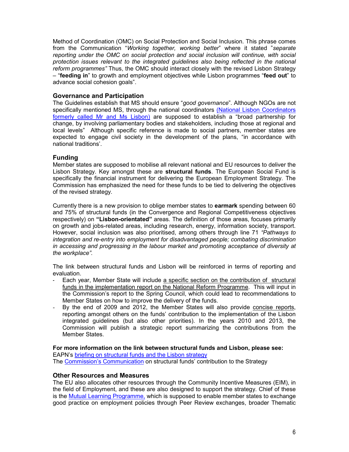Method of Coordination (OMC) on Social Protection and Social Inclusion. This phrase comes from the Communication "Working together, working better" where it stated "separate reporting under the OMC on social protection and social inclusion will continue, with social protection issues relevant to the integrated guidelines also being reflected in the national reform programmes" Thus, the OMC should interact closely with the revised Lisbon Strategy – "feeding in" to growth and employment objectives while Lisbon programmes "feed out" to advance social cohesion goals".

#### Governance and Participation

The Guidelines establish that MS should ensure "good governance". Although NGOs are not specifically mentioned MS, through the national coordinators (National Lisbon Coordinators formerly called Mr and Ms Lisbon) are supposed to establish a "broad partnership for change, by involving parliamentary bodies and stakeholders, including those at regional and local levels" Although specific reference is made to social partners, member states are expected to engage civil society in the development of the plans, "in accordance with national traditions'.

#### Funding

Member states are supposed to mobilise all relevant national and EU resources to deliver the Lisbon Strategy. Key amongst these are **structural funds**. The European Social Fund is specifically the financial instrument for delivering the European Employment Strategy. The Commission has emphasized the need for these funds to be tied to delivering the objectives of the revised strategy.

Currently there is a new provision to oblige member states to earmark spending between 60 and 75% of structural funds (in the Convergence and Regional Competitiveness objectives respectively) on "Lisbon-orientated" areas. The definition of those areas, focuses primarily on growth and jobs-related areas, including research, energy, information society, transport. However, social inclusion was also prioritised, among others through line 71 "Pathways to integration and re-entry into employment for disadvantaged people; combating discrimination in accessing and progressing in the labour market and promoting acceptance of diversity at the workplace".

The link between structural funds and Lisbon will be reinforced in terms of reporting and evaluation.

- Each year, Member State will include a specific section on the contribution of structural funds in the implementation report on the National Reform Programme. This will input in the Commission's report to the Spring Council, which could lead to recommendations to Member States on how to improve the delivery of the funds.
- By the end of 2009 and 2012, the Member States will also provide concise reports, reporting amongst others on the funds' contribution to the implementation of the Lisbon integrated guidelines (but also other priorities). In the years 2010 and 2013, the Commission will publish a strategic report summarizing the contributions from the Member States.

#### For more information on the link between structural funds and Lisbon, please see:

EAPN's briefing on structural funds and the Lisbon strategy

The Commission's Communication on structural funds' contribution to the Strategy

#### Other Resources and Measures

The EU also allocates other resources through the Community Incentive Measures (EIM), in the field of Employment, and these are also designed to support the strategy. Chief of these is the Mutual Learning Programme, which is supposed to enable member states to exchange good practice on employment policies through Peer Review exchanges, broader Thematic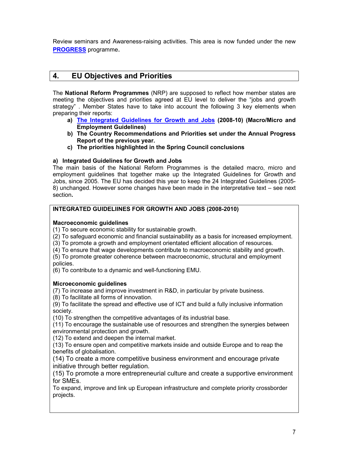Review seminars and Awareness-raising activities. This area is now funded under the new PROGRESS programme.

# 4. EU Objectives and Priorities

The National Reform Programmes (NRP) are supposed to reflect how member states are meeting the objectives and priorities agreed at EU level to deliver the "jobs and growth strategy" . Member States have to take into account the following 3 key elements when preparing their reports:

- a) The Integrated Guidelines for Growth and Jobs (2008-10) (Macro/Micro and Employment Guidelines)
- b) The Country Recommendations and Priorities set under the Annual Progress Report of the previous year.
- c) The priorities highlighted in the Spring Council conclusions

#### a) Integrated Guidelines for Growth and Jobs

The main basis of the National Reform Programmes is the detailed macro, micro and employment guidelines that together make up the Integrated Guidelines for Growth and Jobs, since 2005. The EU has decided this year to keep the 24 Integrated Guidelines (2005- 8) unchanged. However some changes have been made in the interpretative text – see next section.

#### INTEGRATED GUIDELIINES FOR GROWTH AND JOBS (2008-2010)

#### Macroeconomic guidelines

(1) To secure economic stability for sustainable growth.

(2) To safeguard economic and financial sustainability as a basis for increased employment.

- (3) To promote a growth and employment orientated efficient allocation of resources.
- (4) To ensure that wage developments contribute to macroeconomic stability and growth.

(5) To promote greater coherence between macroeconomic, structural and employment policies.

(6) To contribute to a dynamic and well-functioning EMU.

#### Microeconomic guidelines

(7) To increase and improve investment in R&D, in particular by private business.

(8) To facilitate all forms of innovation.

(9) To facilitate the spread and effective use of ICT and build a fully inclusive information society.

(10) To strengthen the competitive advantages of its industrial base.

(11) To encourage the sustainable use of resources and strengthen the synergies between environmental protection and growth.

(12) To extend and deepen the internal market.

(13) To ensure open and competitive markets inside and outside Europe and to reap the benefits of globalisation.

(14) To create a more competitive business environment and encourage private initiative through better regulation.

(15) To promote a more entrepreneurial culture and create a supportive environment for SMEs.

To expand, improve and link up European infrastructure and complete priority crossborder projects.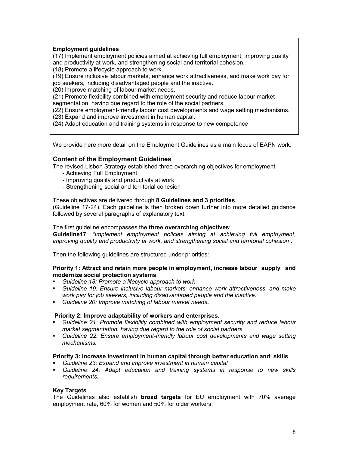#### Employment guidelines

(17) Implement employment policies aimed at achieving full employment, improving quality and productivity at work, and strengthening social and territorial cohesion.

(18) Promote a lifecycle approach to work.

(19) Ensure inclusive labour markets, enhance work attractiveness, and make work pay for

job seekers, including disadvantaged people and the inactive.

(20) Improve matching of labour market needs.

(21) Promote flexibility combined with employment security and reduce labour market

segmentation, having due regard to the role of the social partners.

(22) Ensure employment-friendly labour cost developments and wage setting mechanisms.

(23) Expand and improve investment in human capital.

(24) Adapt education and training systems in response to new competence

We provide here more detail on the Employment Guidelines as a main focus of EAPN work.

#### Content of the Employment Guidelines

The revised Lisbon Strategy established three overarching objectives for employment:

- Achieving Full Employment
- Improving quality and productivity at work
- Strengthening social and territorial cohesion

#### These objectives are delivered through 8 Guidelines and 3 priorities.

(Guideline 17-24). Each guideline is then broken down further into more detailed guidance followed by several paragraphs of explanatory text.

#### The first quideline encompasses the three overarching objectives:

Guideline17: "Implement employment policies aiming at achieving full employment, improving quality and productivity at work, and strengthening social and territorial cohesion".

Then the following guidelines are structured under priorities:

#### Priority 1: Attract and retain more people in employment, increase labour supply and modernize social protection systems

- Guideline 18: Promote a lifecycle approach to work
- Guideline 19: Ensure inclusive labour markets, enhance work attractiveness, and make work pay for job seekers, including disadvantaged people and the inactive.
- Guideline 20: Improve matching of labour market needs.

#### Priority 2: Improve adaptability of workers and enterprises.

- Guideline 21: Promote flexibility combined with employment security and reduce labour market segmentation, having due regard to the role of social partners.
- Guideline 22: Ensure employment-friendly labour cost developments and wage setting mechanisms.

#### Priority 3: Increase investment in human capital through better education and skills

- Guideline 23: Expand and improve investment in human capital
- Guideline 24: Adapt education and training systems in response to new skills requirements.

#### Key Targets

The Guidelines also establish broad targets for EU employment with 70% average employment rate, 60% for women and 50% for older workers.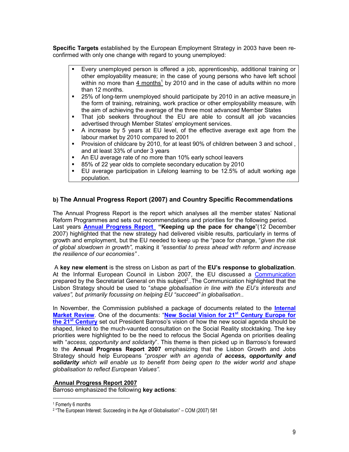Specific Targets established by the European Employment Strategy in 2003 have been reconfirmed with only one change with regard to young unemployed:

- Every unemployed person is offered a job, apprenticeship, additional training or other employability measure; in the case of young persons who have left school within no more than  $4 \text{ months}^1$  by 2010 and in the case of adults within no more than 12 months.
- 25% of long-term unemployed should participate by 2010 in an active measure in the form of training, retraining, work practice or other employability measure, with the aim of achieving the average of the three most advanced Member States
- That job seekers throughout the EU are able to consult all job vacancies advertised through Member States' employment services.
- A increase by 5 years at EU level, of the effective average exit age from the labour market by 2010 compared to 2001
- **Provision of childcare by 2010, for at least 90% of children between 3 and school,** and at least 33% of under 3 years
- An EU average rate of no more than 10% early school leavers
- 85% of 22 year olds to complete secondary education by 2010
- EU average participation in Lifelong learning to be 12.5% of adult working age population.

#### b) The Annual Progress Report (2007) and Country Specific Recommendations

The Annual Progress Report is the report which analyses all the member states' National Reform Programmes and sets out recommendations and priorities for the following period. Last years **Annual Progress Report** "Keeping up the pace for change"(12 December 2007) highlighted that the new strategy had delivered visible results, particularly in terms of growth and employment, but the EU needed to keep up the "pace for change, "given the risk of global slowdown in growth", making it "essential to press ahead with reform and increase the resilience of our economies" .

 A key new element is the stress on Lisbon as part of the EU's response to globalization. At the Informal European Council in Lisbon 2007, the EU discussed a Communication prepared by the Secretariat General on this subject<sup>2</sup>..The Communication highlighted that the Lisbon Strategy should be used to "shape globalisation in line with the EU's interests and values", but primarily focussing on helping EU "succeed" in globalisation..

In November, the Commission published a package of documents related to the **Internal** Market Review. One of the documents: "New Social Vision for 21<sup>st</sup> Century Europe for the 21<sup>st</sup> Century set out President Barroso's vision of how the new social agenda should be shaped, linked to the much-vaunted consultation on the Social Reality stocktaking. The key priorities were highlighted to be the need to refocus the Social Agenda on priorities dealing with "access, opportunity and solidarity". This theme is then picked up in Barroso's foreward to the Annual Progress Report 2007 emphasizing that the Lisbon Growth and Jobs Strategy should help Europeans "prosper with an agenda of access, opportunity and solidarity which will enable us to benefit from being open to the wider world and shape globalisation to reflect European Values".

#### Annual Progress Report 2007

Barroso emphasized the following key actions:

1 Fomerly 6 months

l

<sup>2</sup> "The European Interest: Succeeding in the Age of Globalisation" – COM (2007) 581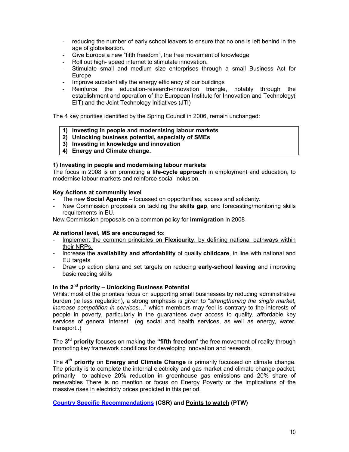- reducing the number of early school leavers to ensure that no one is left behind in the age of globalisation.
- Give Europe a new "fifth freedom", the free movement of knowledge.
- Roll out high- speed internet to stimulate innovation.
- Stimulate small and medium size enterprises through a small Business Act for Europe
- Improve substantially the energy efficiency of our buildings
- Reinforce the education-research-innovation triangle, notably through the establishment and operation of the European Institute for Innovation and Technology( EIT) and the Joint Technology Initiatives (JTI)

The 4 key priorities identified by the Spring Council in 2006, remain unchanged:

- 1) Investing in people and modernising labour markets
- 2) Unlocking business potential, especially of SMEs
- 3) Investing in knowledge and innovation
- 4) Energy and Climate change.

#### 1) Investing in people and modernising labour markets

The focus in 2008 is on promoting a **life-cycle approach** in employment and education, to modernise labour markets and reinforce social inclusion.

#### Key Actions at community level

- The new **Social Agenda** focussed on opportunities, access and solidarity.
- New Commission proposals on tackling the **skills gap**, and forecasting/monitoring skills requirements in EU.

New Commission proposals on a common policy for immigration in 2008-

#### At national level, MS are encouraged to:

- Implement the common principles on Flexicurity, by defining national pathways within their NRPs.
- Increase the availability and affordability of quality childcare, in line with national and EU targets
- Draw up action plans and set targets on reducing early-school leaving and improving basic reading skills

#### In the  $2^{nd}$  priority – Unlocking Business Potential

Whilst most of the priorities focus on supporting small businesses by reducing administrative burden (ie less regulation), a strong emphasis is given to "strengthening the single market, increase competition in services…" which members may feel is contrary to the interests of people in poverty, particularly in the guarantees over access to quality, affordable key services of general interest (eg social and health services, as well as energy, water, transport..)

The 3<sup>rd</sup> priority focuses on making the "fifth freedom" the free movement of reality through promoting key framework conditions for developing innovation and research.

The 4<sup>th</sup> priority on Energy and Climate Change is primarily focussed on climate change. The priority is to complete the internal electricity and gas market and climate change packet, primarily to achieve 20% reduction in greenhouse gas emissions and 20% share of renewables There is no mention or focus on Energy Poverty or the implications of the massive rises in electricity prices predicted in this period.

#### Country Specific Recommendations (CSR) and Points to watch (PTW)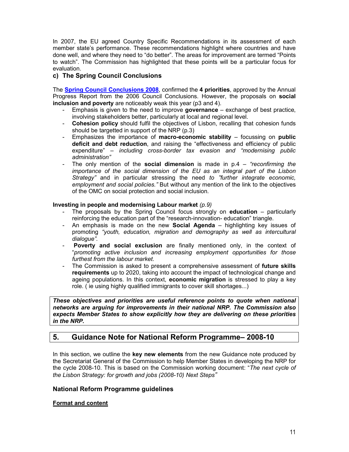In 2007, the EU agreed Country Specific Recommendations in its assessment of each member state's performance. These recommendations highlight where countries and have done well, and where they need to "do better". The areas for improvement are termed "Points to watch". The Commission has highlighted that these points will be a particular focus for evaluation.

#### c) The Spring Council Conclusions

The **Spring Council Conclusions 2008**, confirmed the 4 priorities, approved by the Annual Progress Report from the 2006 Council Conclusions. However, the proposals on social inclusion and poverty are noticeably weak this year (p3 and 4).

- Emphasis is given to the need to improve governance exchange of best practice, involving stakeholders better, particularly at local and regional level.
- Cohesion policy should fulfil the objectives of Lisbon, recalling that cohesion funds should be targetted in support of the NRP (p.3)
- Emphasizes the importance of macro-economic stability focussing on public deficit and debt reduction, and raising the "effectiveness and efficiency of public expenditure" – including cross-border tax evasion and "modernising public administration"
- The only mention of the **social dimension** is made in  $p_1A \text{reconfirmina}$  the importance of the social dimension of the EU as an integral part of the Lisbon Strategy" and in particular stressing the need to "further integrate economic. employment and social policies." But without any mention of the link to the objectives of the OMC on social protection and social inclusion.

#### Investing in people and modernising Labour market  $(p.9)$

- The proposals by the Spring Council focus strongly on **education** particularly reinforcing the education part of the "research-innovation- education" triangle.
- An emphasis is made on the new **Social Agenda** highlighting key issues of promoting "youth, education, migration and demography as well as intercultural dialogue".
- Poverty and social exclusion are finally mentioned only, in the context of "promoting active inclusion and increasing employment opportunities for those furthest from the labour market.
- The Commission is asked to present a comprehensive assessment of future skills requirements up to 2020, taking into account the impact of technological change and ageing populations. In this context, economic migration is stressed to play a key role. ( ie using highly qualified immigrants to cover skill shortages...)

These objectives and priorities are useful reference points to quote when national networks are arguing for improvements in their national NRP. The Commission also expects Member States to show explicitly how they are delivering on these priorities in the NRP.

# 5. Guidance Note for National Reform Programme– 2008-10

In this section, we outline the key new elements from the new Guidance note produced by the Secretariat General of the Commission to help Member States in developing the NRP for the cycle 2008-10. This is based on the Commission working document: "The next cycle of the Lisbon Strategy: for growth and jobs (2008-10) Next Steps"

#### National Reform Programme guidelines

#### Format and content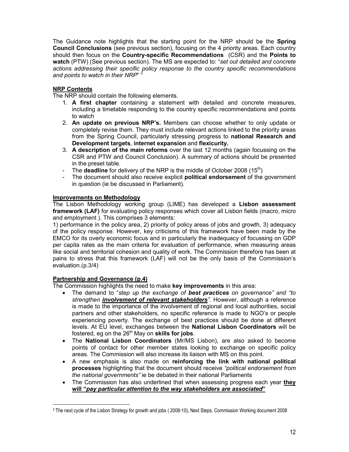The Guidance note highlights that the starting point for the NRP should be the **Spring** Council Conclusions (see previous section), focusing on the 4 priority areas. Each country should then focus on the Country-specific Recommendations (CSR) and the Points to watch (PTW) (See previous section). The MS are expected to: "set out detailed and concrete actions addressing their specific policy response to the country specific recommendations and points to watch in their NRP" 3

#### NRP Contents

The NRP should contain the following elements.

- 1. A first chapter containing a statement with detailed and concrete measures, including a timetable responding to the country specific recommendations and points to watch
- 2. An update on previous NRP's. Members can choose whether to only update or completely revise them. They must include relevant actions linked to the priority areas from the Spring Council, particularly stressing progress to national Research and Development targets, internet expansion and flexicurity.
- 3. A description of the main reforms over the last 12 months (again focussing on the CSR and PTW and Council Conclusion). A summary of actions should be presented in the preset table.
- The **deadline** for delivery of the NRP is the middle of October 2008  $(15<sup>th</sup>)$
- The document should also receive explicit **political endorsement** of the government in question (ie be discussed in Parliament).

#### Improvements on Methodology

The Lisbon Methodology working group (LIME) has developed a Lisbon assessment framework (LAF) for evaluating policy responses which cover all Lisbon fields (macro, micro and employment ). This comprises 3 elements:

1) performance in the policy area, 2) priority of policy areas of jobs and growth, 3) adequacy of the policy response. However, key criticisms of this framework have been made by the EMCO for its overly economic focus and in particularly the inadequacy of focussing on GDP per capita rates as the main criteria for evaluation of performance, when measuring areas like social and territorial cohesion and quality of work. The Commission therefore has been at pains to stress that this framework (LAF) will not be the only basis of the Commission's evaluation.(p.3/4)

#### Partnership and Governance (p.4)

The Commission highlights the need to make key improvements in this area:

- The demand to "step up the exchange of best practices on governance" and "to strengthen involvement of relevant stakeholders". However, although a reference is made to the importance of the involvement of regional and local authorities, social partners and other stakeholders, no specific reference is made to NGO's or people experiencing poverty. The exchange of best practices should be done at different levels. At EU level, exchanges between the National Lisbon Coordinators will be fostered, eg on the  $26<sup>th</sup>$  May on skills for jobs.
- The National Lisbon Coordinators (Mr/MS Lisbon), are also asked to become points of contact for other member states looking to exchange on specific policy areas. The Commission will also increase its liaison with MS on this point.
- A new emphasis is also made on reinforcing the link with national political processes highlighting that the document should receive "political endorsement from the national governments" ie be debated in their national Parliaments
- The Commission has also underlined that when assessing progress each year they will "pay particular attention to the way stakeholders are associated"

l 3 The next cycle of the Lisbon Strategy for growth and jobs ( 2008-10), Next Steps. Commission Working document 2008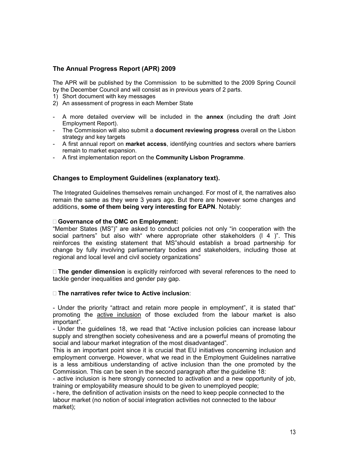#### The Annual Progress Report (APR) 2009

The APR will be published by the Commission to be submitted to the 2009 Spring Council by the December Council and will consist as in previous years of 2 parts.

- 1) Short document with key messages
- 2) An assessment of progress in each Member State
- A more detailed overview will be included in the annex (including the draft Joint Employment Report).
- The Commission will also submit a **document reviewing progress** overall on the Lisbon strategy and key targets
- A first annual report on market access, identifying countries and sectors where barriers remain to market expansion.
- A first implementation report on the Community Lisbon Programme.

#### Changes to Employment Guidelines (explanatory text).

The Integrated Guidelines themselves remain unchanged. For most of it, the narratives also remain the same as they were 3 years ago. But there are however some changes and additions, some of them being very interesting for EAPN. Notably:

#### Governance of the OMC on Employment:

"Member States (MS")" are asked to conduct policies not only "in cooperation with the social partners" but also with where appropriate other stakeholders (1 4 )". This reinforces the existing statement that MS"should establish a broad partnership for change by fully involving parliamentary bodies and stakeholders, including those at regional and local level and civil society organizations"

 The gender dimension is explicitly reinforced with several references to the need to tackle gender inequalities and gender pay gap.

#### The narratives refer twice to Active inclusion:

- Under the priority "attract and retain more people in employment", it is stated that" promoting the active inclusion of those excluded from the labour market is also important".

- Under the guidelines 18, we read that "Active inclusion policies can increase labour supply and strengthen society cohesiveness and are a powerful means of promoting the social and labour market integration of the most disadvantaged".

This is an important point since it is crucial that EU initiatives concerning inclusion and employment converge. However, what we read in the Employment Guidelines narrative is a less ambitious understanding of active inclusion than the one promoted by the Commission. This can be seen in the second paragraph after the guideline 18:

- active inclusion is here strongly connected to activation and a new opportunity of job, training or employability measure should to be given to unemployed people;

- here, the definition of activation insists on the need to keep people connected to the labour market (no notion of social integration activities not connected to the labour market);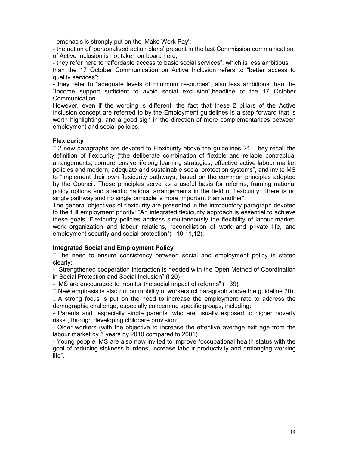- emphasis is strongly put on the 'Make Work Pay';

- the notion of 'personalised action plans' present in the last Commission communication of Active Inclusion is not taken on board here;

- they refer here to "affordable access to basic social services", which is less ambitious than the 17 October Communication on Active Inclusion refers to "better access to quality services";

- they refer to "adequate levels of minimum resources", also less ambitious than the "Income support sufficient to avoid social exclusion",headline of the 17 October Communication.

However, even if the wording is different, the fact that these 2 pillars of the Active Inclusion concept are referred to by the Employment guidelines is a step forward that is worth highlighting, and a good sign in the direction of more complementarities between employment and social policies.

#### **Flexicurity**

 2 new paragraphs are devoted to Flexicurity above the guidelines 21. They recall the definition of flexicurity ("the deliberate combination of flexible and reliable contractual arrangements; comprehensive lifelong learning strategies, effective active labour market policies and modern, adequate and sustainable social protection systems", and invite MS to "implement their own flexicurity pathways, based on the common principles adopted by the Council. These principles serve as a useful basis for reforms, framing national policy options and specific national arrangements in the field of flexicurity. There is no single pathway and no single principle is more important than another".

The general objectives of flexicurity are presented in the introductory paragraph devoted to the full employment priority: "An integrated flexicurity approach is essential to achieve these goals. Flexicurity policies address simultaneously the flexibility of labour market, work organization and labour relations, reconciliation of work and private life, and employment security and social protection"( l 10,11,12).

#### Integrated Social and Employment Policy

 The need to ensure consistency between social and employment policy is stated clearly:

- "Strengthened cooperation interaction is needed with the Open Method of Coordination in Social Protection and Social Inclusion" (l 20)

- "MS are encouraged to monitor the social impact of reforms" ( l 39)

 New emphasis is also put on mobility of workers (cf paragraph above the guideline 20) A strong focus is put on the need to increase the employment rate to address the

demographic challenge, especially concerning specific groups, including: - Parents and "especially single parents, who are usually exposed to higher poverty risks", through developing childcare provision;

- Older workers (with the objective to increase the effective average exit age from the labour market by 5 years by 2010 compared to 2001)

- Young people: MS are also now invited to improve "occupational health status with the goal of reducing sickness burdens, increase labour productivity and prolonging working life".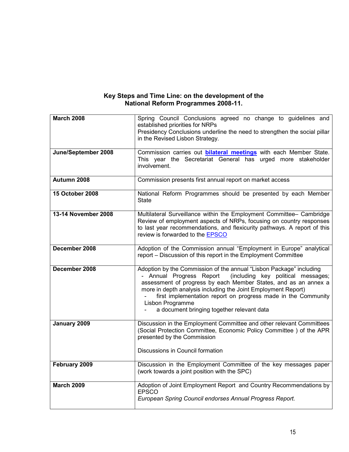#### Key Steps and Time Line: on the development of the National Reform Programmes 2008-11.

| <b>March 2008</b>   | Spring Council Conclusions agreed no change to guidelines and<br>established priorities for NRPs<br>Presidency Conclusions underline the need to strengthen the social pillar<br>in the Revised Lisbon Strategy.                                                                                                                                                                                             |
|---------------------|--------------------------------------------------------------------------------------------------------------------------------------------------------------------------------------------------------------------------------------------------------------------------------------------------------------------------------------------------------------------------------------------------------------|
| June/September 2008 | Commission carries out <b>bilateral meetings</b> with each Member State.<br>This year the Secretariat General has urged more stakeholder<br>involvement.                                                                                                                                                                                                                                                     |
| Autumn 2008         | Commission presents first annual report on market access                                                                                                                                                                                                                                                                                                                                                     |
| 15 October 2008     | National Reform Programmes should be presented by each Member<br>State                                                                                                                                                                                                                                                                                                                                       |
| 13-14 November 2008 | Multilateral Surveillance within the Employment Committee- Cambridge<br>Review of employment aspects of NRPs, focusing on country responses<br>to last year recommendations, and flexicurity pathways. A report of this<br>review is forwarded to the EPSCO                                                                                                                                                  |
| December 2008       | Adoption of the Commission annual "Employment in Europe" analytical<br>report - Discussion of this report in the Employment Committee                                                                                                                                                                                                                                                                        |
| December 2008       | Adoption by the Commission of the annual "Lisbon Package" including<br>- Annual Progress Report<br>(including key political messages;<br>assessment of progress by each Member States, and as an annex a<br>more in depth analysis including the Joint Employment Report)<br>first implementation report on progress made in the Community<br>Lisbon Programme<br>a document bringing together relevant data |
| January 2009        | Discussion in the Employment Committee and other relevant Committees<br>(Social Protection Committee, Economic Policy Committee) of the APR<br>presented by the Commission                                                                                                                                                                                                                                   |
|                     | Discussions in Council formation                                                                                                                                                                                                                                                                                                                                                                             |
| February 2009       | Discussion in the Employment Committee of the key messages paper<br>(work towards a joint position with the SPC)                                                                                                                                                                                                                                                                                             |
| <b>March 2009</b>   | Adoption of Joint Employment Report and Country Recommendations by<br><b>EPSCO</b><br>European Spring Council endorses Annual Progress Report.                                                                                                                                                                                                                                                               |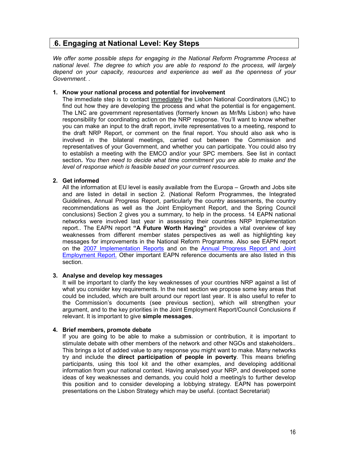# .6. Engaging at National Level: Key Steps

We offer some possible steps for engaging in the National Reform Programme Process at national level. The degree to which you are able to respond to the process, will largely depend on your capacity, resources and experience as well as the openness of your Government. .

#### 1. Know your national process and potential for involvement

The immediate step is to contact immediately the Lisbon National Coordinators (LNC) to find out how they are developing the process and what the potential is for engagement. The LNC are government representatives (formerly known as Mr/Ms Lisbon) who have responsibility for coordinating action on the NRP response. You'll want to know whether you can make an input to the draft report, invite representatives to a meeting, respond to the draft NRP Report, or comment on the final report. You should also ask who is involved in the bilateral meetings, carried out between the Commission and representatives of your Government, and whether you can participate. You could also try to establish a meeting with the EMCO and/or your SPC members. See list in contact section. You then need to decide what time commitment you are able to make and the level of response which is feasible based on your current resources.

#### 2. Get informed

All the information at EU level is easily available from the Europa – Growth and Jobs site and are listed in detail in section 2. (National Reform Programmes, the Integrated Guidelines, Annual Progress Report, particularly the country assessments, the country recommendations as well as the Joint Employment Report, and the Spring Council conclusions) Section 2 gives you a summary, to help in the process. 14 EAPN national networks were involved last year in assessing their countries NRP Implementation report.. The EAPN report "A Future Worth Having" provides a vital overview of key weaknesses from different member states perspectives as well as highlighting key messages for improvements in the National Reform Programme. Also see EAPN report on the 2007 Implementation Reports and on the Annual Progress Report and Joint Employment Report. Other important EAPN reference documents are also listed in this section.

#### 3. Analyse and develop key messages

It will be important to clarify the key weaknesses of your countries NRP against a list of what you consider key requirements. In the next section we propose some key areas that could be included, which are built around our report last year. It is also useful to refer to the Commission's documents (see previous section), which will strengthen your argument, and to the key priorities in the Joint Employment Report/Council Conclusions if relevant. It is important to give simple messages.

#### 4. Brief members, promote debate

If you are going to be able to make a submission or contribution, it is important to stimulate debate with other members of the network and other NGOs and stakeholders.. This brings a lot of added value to any response you might want to make. Many networks try and include the **direct participation of people in poverty**. This means briefing participants, using this tool kit and the other examples, and developing additional information from your national context. Having analysed your NRP, and developed some ideas of key weaknesses and demands, you could hold a meeting/s to further develop this position and to consider developing a lobbying strategy. EAPN has powerpoint presentations on the Lisbon Strategy which may be useful. (contact Secretariat)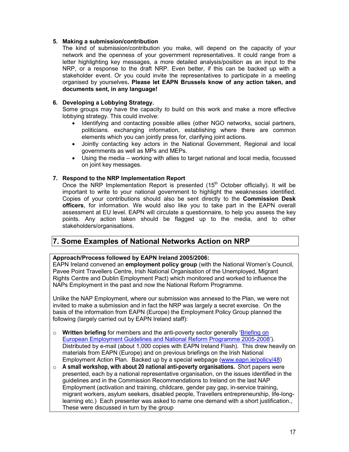#### 5. Making a submission/contribution

The kind of submission/contribution you make, will depend on the capacity of your network and the openness of your government representatives. It could range from a letter highlighting key messages, a more detailed analysis/position as an input to the NRP, or a response to the draft NRP. Even better, if this can be backed up with a stakeholder event. Or you could invite the representatives to participate in a meeting organised by yourselves. Please let EAPN Brussels know of any action taken, and documents sent, in any language!

#### 6. Developing a Lobbying Strategy.

Some groups may have the capacity to build on this work and make a more effective lobbying strategy. This could involve:

- Identifying and contacting possible allies (other NGO networks, social partners, politicians. exchanging information, establishing where there are common elements which you can jointly press for, clarifying joint actions.
- Jointly contacting key actors in the National Government, Regional and local governments as well as MPs and MEPs.
- Using the media working with allies to target national and local media, focussed on joint key messages.

#### 7. Respond to the NRP Implementation Report

Once the NRP Implementation Report is presented  $(15<sup>th</sup>$  October officially). It will be important to write to your national government to highlight the weaknesses identified. Copies of your contributions should also be sent directly to the Commission Desk officers, for information. We would also like you to take part in the EAPN overall assessment at EU level. EAPN will circulate a questionnaire, to help you assess the key points. Any action taken should be flagged up to the media, and to other stakeholders/organisations.

# 7. Some Examples of National Networks Action on NRP

#### Approach/Process followed by EAPN Ireland 2005/2006:

EAPN Ireland convened an employment policy group (with the National Women's Council, Pavee Point Travellers Centre, Irish National Organisation of the Unemployed, Migrant Rights Centre and Dublin Employment Pact) which monitored and worked to influence the NAPs Employment in the past and now the National Reform Programme.

Unlike the NAP Employment, where our submission was annexed to the Plan, we were not invited to make a submission and in fact the NRP was largely a secret exercise. On the basis of the information from EAPN (Europe) the Employment Policy Group planned the following (largely carried out by EAPN Ireland staff):

- $\circ$  Written briefing for members and the anti-poverty sector generally 'Briefing on European Employment Guidelines and National Reform Programme 2005-2008'). Distributed by e-mail (about 1,000 copies with EAPN Ireland Flash). This drew heavily on materials from EAPN (Europe) and on previous briefings on the Irish National Employment Action Plan. Backed up by a special webpage (www.eapn.ie/policy/48)
- $\circ$  A small workshop, with about 20 national anti-poverty organisations. Short papers were presented, each by a national representative organisation, on the issues identified in the guidelines and in the Commission Recommendations to Ireland on the last NAP Employment (activation and training, childcare, gender pay gap, in-service training, migrant workers, asylum seekers, disabled people, Travellers entrepreneurship, life-longlearning etc.) Each presenter was asked to name one demand with a short justification., These were discussed in turn by the group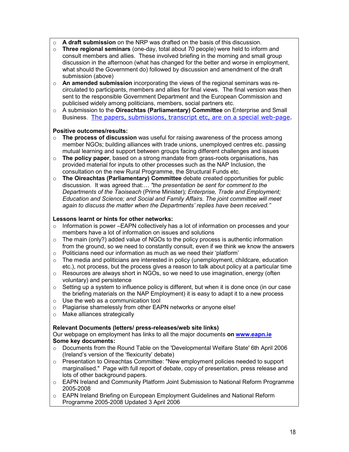- $\circ$  A draft submission on the NRP was drafted on the basis of this discussion.
- $\circ$  Three regional seminars (one-day, total about 70 people) were held to inform and consult members and allies. These involved briefing in the morning and small group discussion in the afternoon (what has changed for the better and worse in employment, what should the Government do) followed by discussion and amendment of the draft submission (above)
- $\circ$  An amended submission incorporating the views of the regional seminars was recirculated to participants, members and allies for final views. The final version was then sent to the responsible Government Department and the European Commission and publicised widely among politicians, members, social partners etc.
- $\circ$  A submission to the Oireachtas (Parliamentary) Committee on Enterprise and Small Business. The papers, submissions, transcript etc, are on a special web-page.

#### Positive outcomes/results:

- $\circ$  The process of discussion was useful for raising awareness of the process among member NGOs; building alliances with trade unions, unemployed centres etc. passing mutual learning and support between groups facing different challenges and issues
- $\circ$  The policy paper, based on a strong mandate from grass-roots organisations, has provided material for inputs to other processes such as the NAP Inclusion, the consultation on the new Rural Programme, the Structural Funds etc.
- o The Oireachtas (Parliamentary) Committee debate created opportunities for public discussion. It was agreed that:… "the presentation be sent for comment to the Departments of the Taoiseach (Prime Minister); Enterprise, Trade and Employment; Education and Science; and Social and Family Affairs. The joint committee will meet again to discuss the matter when the Departments' replies have been received."

#### Lessons learnt or hints for other networks:

- $\circ$  Information is power –EAPN collectively has a lot of information on processes and your members have a lot of information on issues and solutions
- $\circ$  The main (only?) added value of NGOs to the policy process is authentic information from the ground, so we need to constantly consult, even if we think we know the answers
- $\circ$  Politicians need our information as much as we need their 'platform'
- $\circ$  The media and politicians are interested in policy (unemployment, childcare, education etc.), not process, but the process gives a reason to talk about policy at a particular time
- o Resources are always short in NGOs, so we need to use imagination, energy (often voluntary) and persistence
- $\circ$  Setting up a system to influence policy is different, but when it is done once (in our case the briefing materials on the NAP Employment) it is easy to adapt it to a new process
- $\circ$  Use the web as a communication tool
- o Plagiarise shamelessly from other EAPN networks or anyone else!
- o Make alliances strategically

#### Relevant Documents (letters/ press-releases/web site links)

Our webpage on employment has links to all the major documents on www.eapn.ie Some key documents:

- o Documents from the Round Table on the 'Developmental Welfare State' 6th April 2006 (Ireland's version of the 'flexicurity' debate)
- $\circ$  Presentation to Oireachtas Committee: "New employment policies needed to support marginalised." Page with full report of debate, copy of presentation, press release and lots of other background papers.
- o EAPN Ireland and Community Platform Joint Submission to National Reform Programme 2005-2008
- o EAPN Ireland Briefing on European Employment Guidelines and National Reform Programme 2005-2008 Updated 3 April 2006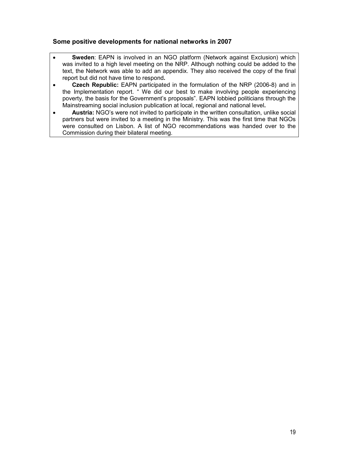#### Some positive developments for national networks in 2007

- Sweden: EAPN is involved in an NGO platform (Network against Exclusion) which was invited to a high level meeting on the NRP. Although nothing could be added to the text, the Network was able to add an appendix. They also received the copy of the final report but did not have time to respond.
- Czech Republic: EAPN participated in the formulation of the NRP (2006-8) and in the Implementation report. " We did our best to make involving people experiencing poverty, the basis for the Government's proposals". EAPN lobbied politicians through the Mainstreaming social inclusion publication at local, regional and national level.
- Austria: NGO's were not invited to participate in the written consultation, unlike social partners but were invited to a meeting in the Ministry. This was the first time that NGOs were consulted on Lisbon. A list of NGO recommendations was handed over to the Commission during their bilateral meeting.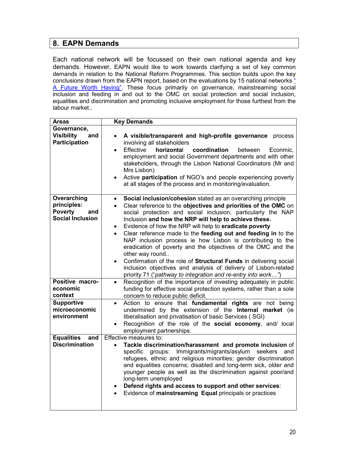# 8. EAPN Demands

Each national network will be focussed on their own national agenda and key demands. However, EAPN would like to work towards clarifying a set of key common demands in relation to the National Reform Programmes. This section builds upon the key conclusions drawn from the EAPN report, based on the evaluations by 15 national networks  $\frac{a}{b}$ A Future Worth Having". These focus primarily on governance, mainstreaming social inclusion and feeding in and out to the OMC on social protection and social inclusion, equalities and discrimination and promoting inclusive employment for those furthest from the labour market..

| Areas                                                                          | <b>Key Demands</b>                                                                                                                                                                                                                                                                                                                                                                                                                                                                                                                                                                                                                                                                                                                                                                                            |
|--------------------------------------------------------------------------------|---------------------------------------------------------------------------------------------------------------------------------------------------------------------------------------------------------------------------------------------------------------------------------------------------------------------------------------------------------------------------------------------------------------------------------------------------------------------------------------------------------------------------------------------------------------------------------------------------------------------------------------------------------------------------------------------------------------------------------------------------------------------------------------------------------------|
| Governance,<br><b>Visibility</b><br>and<br><b>Participation</b>                | A visible/transparent and high-profile governance<br>process<br>$\bullet$<br>involving all stakeholders<br>Effective<br>horizontal<br>coordination<br>between<br>Econmic,<br>$\bullet$<br>employment and social Government departments and with other<br>stakeholders, through the Lisbon National Coordinators (Mr and<br>Mrs Lisbon)<br>Active participation of NGO's and people experiencing poverty<br>$\bullet$<br>at all stages of the process and in monitoring/evaluation.                                                                                                                                                                                                                                                                                                                            |
| Overarching<br>principles:<br><b>Poverty</b><br>and<br><b>Social Inclusion</b> | Social inclusion/cohesion stated as an overarching principle<br>$\bullet$<br>Clear reference to the objectives and priorities of the OMC on<br>$\bullet$<br>social protection and social inclusion, particularly the NAP<br>Inclusion and how the NRP will help to achieve these.<br>Evidence of how the NRP will help to eradicate poverty<br>$\bullet$<br>Clear reference made to the feeding out and feeding in to the<br>$\bullet$<br>NAP inclusion process ie how Lisbon is contributing to the<br>eradication of poverty and the objectives of the OMC and the<br>other way round<br>Confirmation of the role of Structural Funds in delivering social<br>$\bullet$<br>inclusion objectives and analysis of delivery of Lisbon-related<br>priority 71 ("pathway to integration and re-entry into work") |
| Positive macro-<br>economic<br>context                                         | Recognition of the importance of investing adequately in public<br>$\bullet$<br>funding for effective social protection systems, rather than a sole<br>concern to reduce public deficit.                                                                                                                                                                                                                                                                                                                                                                                                                                                                                                                                                                                                                      |
| <b>Supportive</b><br>microeconomic<br>environment                              | Action to ensure that fundamental rights are not being<br>$\bullet$<br>undermined by the extension of the Internal market (ie<br>liberalisation and privatisation of basic Services (SGI)<br>Recognition of the role of the social economy, and/ local<br>employment partnerships.                                                                                                                                                                                                                                                                                                                                                                                                                                                                                                                            |
| <b>Equalities</b><br>and<br><b>Discrimination</b>                              | Effective measures to:<br>Tackle discrimination/harassment and promote inclusion of<br>$\bullet$<br>Immigrants/migrants/asylum<br>seekers<br>specific<br>groups:<br>and<br>refugees, ethnic and religious minorities; gender discrimination<br>and equalities concerns; disabled and long-term sick, older and<br>younger people as well as the discrimination against poor/and<br>long-term unemployed<br>Defend rights and access to support and other services:<br>$\bullet$<br>Evidence of mainstreaming Equal principals or practices                                                                                                                                                                                                                                                                    |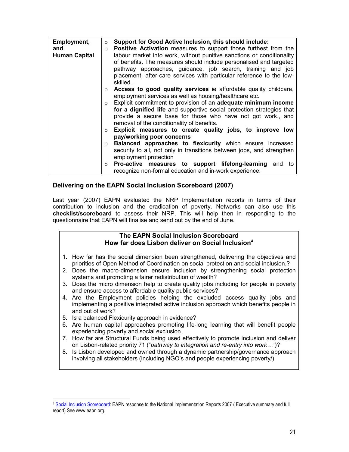| Employment,    | $\circ$                   | Support for Good Active Inclusion, this should include:                |
|----------------|---------------------------|------------------------------------------------------------------------|
| and            | $\circ$                   | <b>Positive Activation</b> measures to support those furthest from the |
| Human Capital. |                           | labour market into work, without punitive sanctions or conditionality  |
|                |                           | of benefits. The measures should include personalised and targeted     |
|                |                           | pathway approaches, guidance, job search, training and job             |
|                |                           | placement, after-care services with particular reference to the low-   |
|                |                           | skilled                                                                |
|                |                           | o Access to good quality services ie affordable quality childcare,     |
|                |                           | employment services as well as housing/healthcare etc.                 |
|                | $\circ$                   | Explicit commitment to provision of an adequate minimum income         |
|                |                           | for a dignified life and supportive social protection strategies that  |
|                |                           | provide a secure base for those who have not got work., and            |
|                |                           | removal of the conditionality of benefits.                             |
|                | $\circ$                   | Explicit measures to create quality jobs, to improve low               |
|                | pay/working poor concerns |                                                                        |
|                | $\circ$                   | Balanced approaches to flexicurity which ensure increased              |
|                |                           | security to all, not only in transitions between jobs, and strengthen  |
|                |                           | employment protection                                                  |
|                | $\circ$                   | <b>Pro-active measures to support lifelong-learning and to</b>         |
|                |                           | recognize non-formal education and in-work experience.                 |

#### Delivering on the EAPN Social Inclusion Scoreboard (2007)

Last year (2007) EAPN evaluated the NRP Implementation reports in terms of their contribution to inclusion and the eradication of poverty. Networks can also use this checklist/scoreboard to assess their NRP. This will help then in responding to the questionnaire that EAPN will finalise and send out by the end of June.

#### The EAPN Social Inclusion Scoreboard How far does Lisbon deliver on Social Inclusion<sup>4</sup>

- 1. How far has the social dimension been strengthened, delivering the objectives and priorities of Open Method of Coordination on social protection and social inclusion.?
- 2. Does the macro-dimension ensure inclusion by strengthening social protection systems and promoting a fairer redistribution of wealth?
- 3. Does the micro dimension help to create quality jobs including for people in poverty and ensure access to affordable quality public services?
- 4. Are the Employment policies helping the excluded access quality jobs and implementing a positive integrated active inclusion approach which benefits people in and out of work?
- 5. Is a balanced Flexicurity approach in evidence?

l

- 6. Are human capital approaches promoting life-long learning that will benefit people experiencing poverty and social exclusion.
- 7. How far are Structural Funds being used effectively to promote inclusion and deliver on Lisbon-related priority 71 ("pathway to integration and re-entry into work...")?
- 8. Is Lisbon developed and owned through a dynamic partnership/governance approach involving all stakeholders (including NGO's and people experiencing poverty/)

<sup>4</sup> Social Inclusion Scoreboard: EAPN response to the National Implementation Reports 2007 ( Executive summary and full report) See www.eapn.org.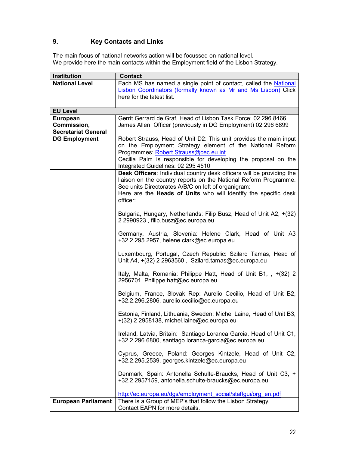# 9. Key Contacts and Links

The main focus of national networks action will be focussed on national level. We provide here the main contacts within the Employment field of the Lisbon Strategy.

| Institution                | <b>Contact</b>                                                        |
|----------------------------|-----------------------------------------------------------------------|
| <b>National Level</b>      | Each MS has named a single point of contact, called the National      |
|                            | Lisbon Coordinators (formally known as Mr and Ms Lisbon) Click        |
|                            | here for the latest list.                                             |
|                            |                                                                       |
| <b>EU Level</b>            |                                                                       |
| <b>European</b>            | Gerrit Gerrard de Graf, Head of Lisbon Task Force: 02 296 8466        |
| Commission,                | James Allen, Officer (previously in DG Employment) 02 296 6899        |
| <b>Secretariat General</b> |                                                                       |
| <b>DG Employment</b>       | Robert Strauss, Head of Unit D2: This unit provides the main input    |
|                            | on the Employment Strategy element of the National Reform             |
|                            | Programmes: Robert.Strauss@cec.eu.int.                                |
|                            | Cecilia Palm is responsible for developing the proposal on the        |
|                            | Integrated Guidelines: 02 295 4510                                    |
|                            | Desk Officers: Individual country desk officers will be providing the |
|                            | liaison on the country reports on the National Reform Programme.      |
|                            | See units Directorates A/B/C on left of organigram:                   |
|                            | Here are the Heads of Units who will identify the specific desk       |
|                            | officer:                                                              |
|                            |                                                                       |
|                            | Bulgaria, Hungary, Netherlands: Filip Busz, Head of Unit A2, +(32)    |
|                            | 2 2990923, filip.busz@ec.europa.eu                                    |
|                            |                                                                       |
|                            | Germany, Austria, Slovenia: Helene Clark, Head of Unit A3             |
|                            | +32.2.295.2957, helene.clark@ec.europa.eu                             |
|                            |                                                                       |
|                            | Luxembourg, Portugal, Czech Republic: Szilard Tamas, Head of          |
|                            | Unit A4, +(32) 2 2963560, Szilard.tamas@ec.europa.eu                  |
|                            |                                                                       |
|                            | Italy, Malta, Romania: Philippe Hatt, Head of Unit B1, , +(32) 2      |
|                            | 2956701, Philippe.hatt@ec.europa.eu                                   |
|                            |                                                                       |
|                            | Belgium, France, Slovak Rep: Aurelio Cecilio, Head of Unit B2,        |
|                            | +32.2.296.2806, aurelio.cecilio@ec.europa.eu                          |
|                            |                                                                       |
|                            | Estonia, Finland, Lithuania, Sweden: Michel Laine, Head of Unit B3,   |
|                            | +(32) 2 2958138, michel.laine@ec.europa.eu                            |
|                            |                                                                       |
|                            | Ireland, Latvia, Britain: Santiago Loranca Garcia, Head of Unit C1,   |
|                            | +32.2.296.6800, santiago.loranca-garcia@ec.europa.eu                  |
|                            |                                                                       |
|                            | Cyprus, Greece, Poland: Georges Kintzele, Head of Unit C2,            |
|                            | +32.2.295.2539, georges.kintzele@ec.europa.eu                         |
|                            |                                                                       |
|                            | Denmark, Spain: Antonella Schulte-Braucks, Head of Unit C3, +         |
|                            | +32.2 2957159, antonella.schulte-braucks@ec.europa.eu                 |
|                            |                                                                       |
|                            | http://ec.europa.eu/dgs/employment social/staffgui/org en.pdf         |
| <b>European Parliament</b> | There is a Group of MEP's that follow the Lisbon Strategy.            |
|                            | Contact EAPN for more details.                                        |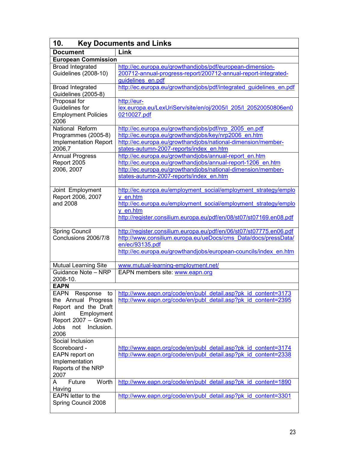| <b>Key Documents and Links</b><br>10.                                                                                                                                     |                                                                                                                                                                                                                                   |  |  |  |  |
|---------------------------------------------------------------------------------------------------------------------------------------------------------------------------|-----------------------------------------------------------------------------------------------------------------------------------------------------------------------------------------------------------------------------------|--|--|--|--|
| Link<br><b>Document</b>                                                                                                                                                   |                                                                                                                                                                                                                                   |  |  |  |  |
| <b>European Commission</b>                                                                                                                                                |                                                                                                                                                                                                                                   |  |  |  |  |
| Broad Integrated<br><b>Guidelines (2008-10)</b>                                                                                                                           | http://ec.europa.eu/growthandjobs/pdf/european-dimension-<br>200712-annual-progress-report/200712-annual-report-integrated-<br>guidelines en.pdf                                                                                  |  |  |  |  |
| <b>Broad Integrated</b><br>Guidelines (2005-8)                                                                                                                            | http://ec.europa.eu/growthandjobs/pdf/integrated_quidelines_en.pdf                                                                                                                                                                |  |  |  |  |
| Proposal for<br>Guidelines for<br><b>Employment Policies</b><br>2006                                                                                                      | http://eur-<br>lex.europa.eu/LexUriServ/site/en/oj/2005/l 205/l 20520050806en0<br>0210027.pdf                                                                                                                                     |  |  |  |  |
| National Reform<br>Programmes (2005-8)<br><b>Implementation Report</b><br>2006,7                                                                                          | http://ec.europa.eu/growthandjobs/pdf/nrp 2005 en.pdf<br>http://ec.europa.eu/growthandjobs/key/nrp2006 en.htm<br>http://ec.europa.eu/growthandjobs/national-dimension/member-<br>states-autumn-2007-reports/index en.htm          |  |  |  |  |
| <b>Annual Progress</b><br>Report 2005<br>2006, 2007                                                                                                                       | http://ec.europa.eu/growthandjobs/annual-report en.htm<br>http://ec.europa.eu/growthandjobs/annual-report-1206 en.htm<br>http://ec.europa.eu/growthandjobs/national-dimension/member-<br>states-autumn-2007-reports/index en.htm  |  |  |  |  |
| Joint Employment<br>Report 2006, 2007<br>and 2008                                                                                                                         | http://ec.europa.eu/employment social/employment strategy/emplo<br>y en.htm<br>http://ec.europa.eu/employment social/employment strategy/emplo<br>y en.htm<br>http://register.consilium.europa.eu/pdf/en/08/st07/st07169.en08.pdf |  |  |  |  |
| Spring Council<br>Conclusions 2006/7/8                                                                                                                                    | http://register.consilium.europa.eu/pdf/en/06/st07/st07775.en06.pdf<br>http://www.consilium.europa.eu/ueDocs/cms Data/docs/pressData/<br>en/ec/93135.pdf<br>http://ec.europa.eu/growthandjobs/european-councils/index en.htm      |  |  |  |  |
| <b>Mutual Learning Site</b>                                                                                                                                               | www.mutual-learning-employment.net/                                                                                                                                                                                               |  |  |  |  |
| Guidance Note - NRP<br>2008-10.                                                                                                                                           | EAPN members site: www.eapn.org                                                                                                                                                                                                   |  |  |  |  |
| <b>EAPN</b><br><b>EAPN</b><br>Response<br>the Annual Progress<br>Report and the Draft<br>Employment<br>Joint<br>Report 2007 - Growth<br>Jobs<br>not<br>Inclusion.<br>2006 | to http://www.eapn.org/code/en/publ_detail.asp?pk_id_content=3173<br>http://www.eapn.org/code/en/publ_detail.asp?pk_id_content=2395                                                                                               |  |  |  |  |
| Social Inclusion<br>Scoreboard -<br>EAPN report on<br>Implementation<br>Reports of the NRP<br>2007                                                                        | http://www.eapn.org/code/en/publ_detail.asp?pk_id_content=3174<br>http://www.eapn.org/code/en/publ_detail.asp?pk_id_content=2338                                                                                                  |  |  |  |  |
| Worth<br>Future<br>A<br>Having                                                                                                                                            | http://www.eapn.org/code/en/publ_detail.asp?pk_id_content=1890                                                                                                                                                                    |  |  |  |  |
| EAPN letter to the<br>Spring Council 2008                                                                                                                                 | http://www.eapn.org/code/en/publ_detail.asp?pk_id_content=3301                                                                                                                                                                    |  |  |  |  |